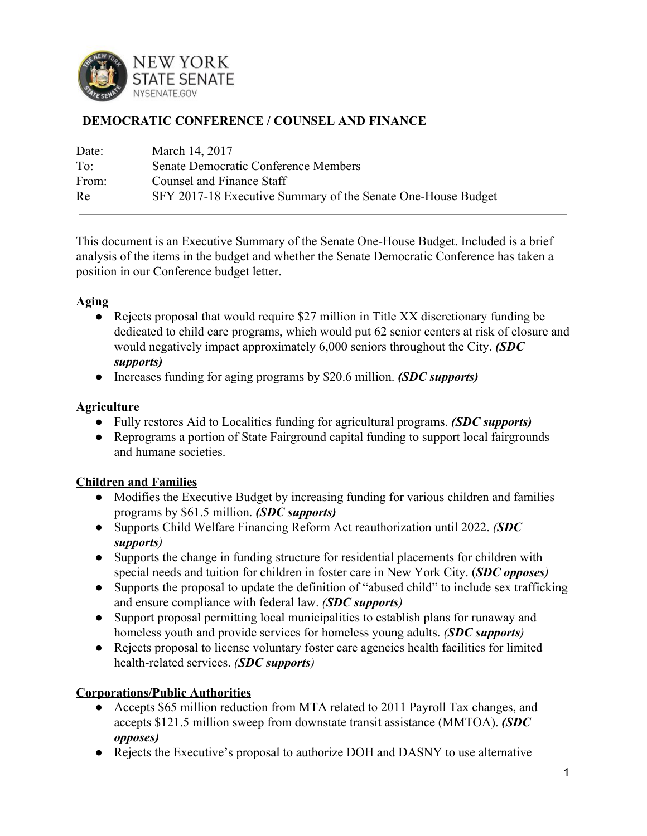

#### **DEMOCRATIC CONFERENCE / COUNSEL AND FINANCE**

| Date:        | March 14, 2017                                               |
|--------------|--------------------------------------------------------------|
| $To^{\cdot}$ | Senate Democratic Conference Members                         |
| From:        | Counsel and Finance Staff                                    |
| Re           | SFY 2017-18 Executive Summary of the Senate One-House Budget |

This document is an Executive Summary of the Senate One-House Budget. Included is a brief analysis of the items in the budget and whether the Senate Democratic Conference has taken a position in our Conference budget letter.

#### **Aging**

- *●* Rejects proposal that would require \$27 million in Title XX discretionary funding be dedicated to child care programs, which would put 62 senior centers at risk of closure and would negatively impact approximately 6,000 seniors throughout the City. *(SDC supports)*
- *●* Increases funding for aging programs by \$20.6 million. *(SDC supports)*

#### **Agriculture**

- Fully restores Aid to Localities funding for agricultural programs. *(SDC supports)*
- Reprograms a portion of State Fairground capital funding to support local fairgrounds and humane societies.

# **Children and Families**

- Modifies the Executive Budget by increasing funding for various children and families programs by \$61.5 million. *(SDC supports)*
- Supports Child Welfare Financing Reform Act reauthorization until 2022. *(SDC supports)*
- Supports the change in funding structure for residential placements for children with special needs and tuition for children in foster care in New York City. (*SDC opposes)*
- Supports the proposal to update the definition of "abused child" to include sex trafficking and ensure compliance with federal law. *(SDC supports)*
- Support proposal permitting local municipalities to establish plans for runaway and homeless youth and provide services for homeless young adults. *(SDC supports)*
- Rejects proposal to license voluntary foster care agencies health facilities for limited health-related services. *(SDC supports)*

# **Corporations/Public Authorities**

- Accepts \$65 million reduction from MTA related to 2011 Payroll Tax changes, and accepts \$121.5 million sweep from downstate transit assistance (MMTOA). *(SDC opposes)*
- Rejects the Executive's proposal to authorize DOH and DASNY to use alternative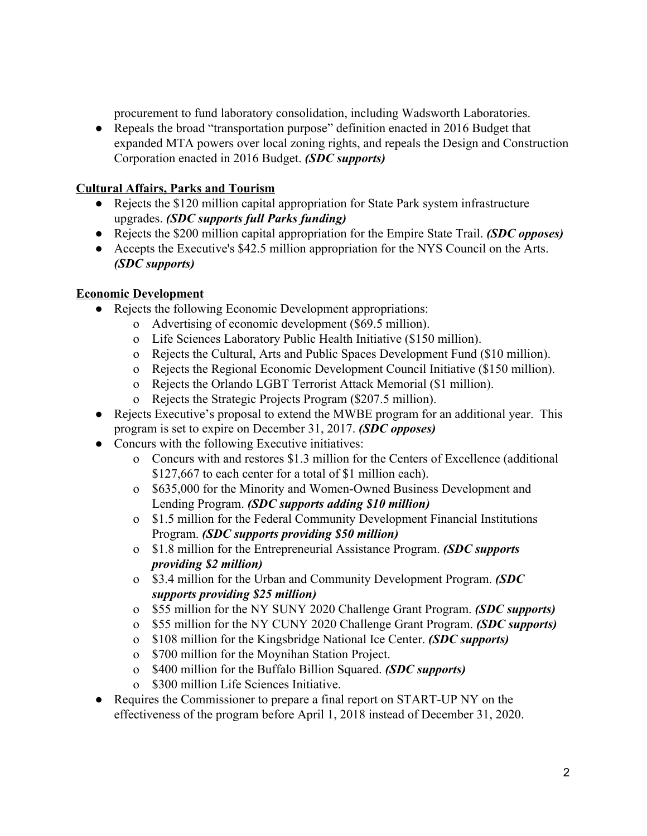procurement to fund laboratory consolidation, including Wadsworth Laboratories.

● Repeals the broad "transportation purpose" definition enacted in 2016 Budget that expanded MTA powers over local zoning rights, and repeals the Design and Construction Corporation enacted in 2016 Budget. *(SDC supports)*

#### **Cultural Affairs, Parks and Tourism**

- Rejects the \$120 million capital appropriation for State Park system infrastructure upgrades. *(SDC supports full Parks funding)*
- Rejects the \$200 million capital appropriation for the Empire State Trail. *(SDC opposes)*
- Accepts the Executive's \$42.5 million appropriation for the NYS Council on the Arts. *(SDC supports)*

# **Economic Development**

- Rejects the following Economic Development appropriations:
	- o Advertising of economic development (\$69.5 million).
	- o Life Sciences Laboratory Public Health Initiative (\$150 million).
	- o Rejects the Cultural, Arts and Public Spaces Development Fund (\$10 million).
	- o Rejects the Regional Economic Development Council Initiative (\$150 million).
	- o Rejects the Orlando LGBT Terrorist Attack Memorial (\$1 million).
	- o Rejects the Strategic Projects Program (\$207.5 million).
- Rejects Executive's proposal to extend the MWBE program for an additional year. This program is set to expire on December 31, 2017. *(SDC opposes)*
- Concurs with the following Executive initiatives:
	- o Concurs with and restores \$1.3 million for the Centers of Excellence (additional \$127,667 to each center for a total of \$1 million each).
	- o \$635,000 for the Minority and Women-Owned Business Development and Lending Program. *(SDC supports adding \$10 million)*
	- o \$1.5 million for the Federal Community Development Financial Institutions Program. *(SDC supports providing \$50 million)*
	- o \$1.8 million for the Entrepreneurial Assistance Program. *(SDC supports providing \$2 million)*
	- o \$3.4 million for the Urban and Community Development Program. *(SDC supports providing \$25 million)*
	- o \$55 million for the NY SUNY 2020 Challenge Grant Program. *(SDC supports)*
	- o \$55 million for the NY CUNY 2020 Challenge Grant Program. *(SDC supports)*
	- o \$108 million for the Kingsbridge National Ice Center. *(SDC supports)*
	- o \$700 million for the Moynihan Station Project.
	- o \$400 million for the Buffalo Billion Squared. *(SDC supports)*
	- o \$300 million Life Sciences Initiative.
- Requires the Commissioner to prepare a final report on START-UP NY on the effectiveness of the program before April 1, 2018 instead of December 31, 2020.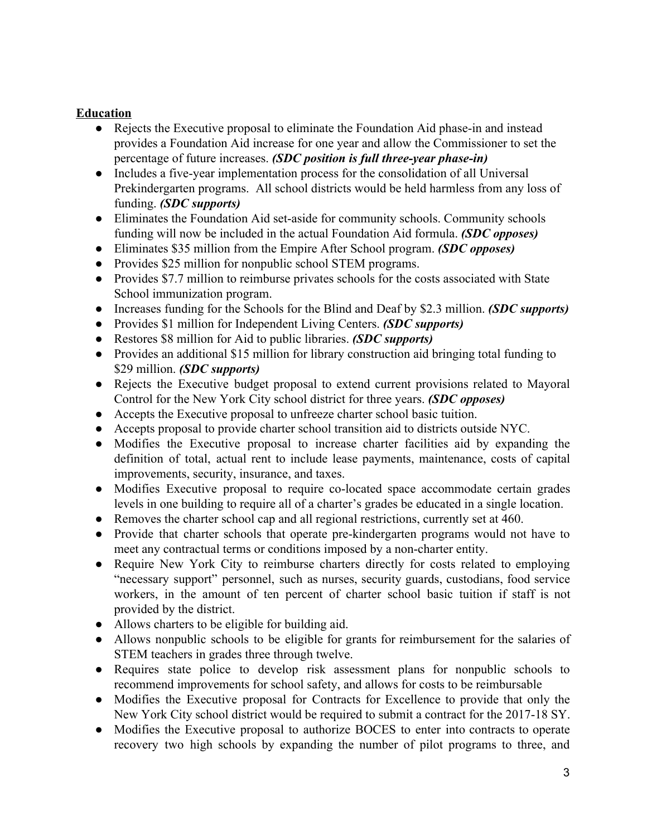# **Education**

- Rejects the Executive proposal to eliminate the Foundation Aid phase-in and instead provides a Foundation Aid increase for one year and allow the Commissioner to set the percentage of future increases. *(SDC position is full three-year phase-in)*
- Includes a five-year implementation process for the consolidation of all Universal Prekindergarten programs. All school districts would be held harmless from any loss of funding. *(SDC supports)*
- Eliminates the Foundation Aid set-aside for community schools. Community schools funding will now be included in the actual Foundation Aid formula. *(SDC opposes)*
- Eliminates \$35 million from the Empire After School program. *(SDC opposes)*
- Provides \$25 million for nonpublic school STEM programs.
- Provides \$7.7 million to reimburse privates schools for the costs associated with State School immunization program.
- Increases funding for the Schools for the Blind and Deaf by \$2.3 million. *(SDC supports)*
- Provides \$1 million for Independent Living Centers. *(SDC supports)*
- Restores \$8 million for Aid to public libraries. *(SDC supports)*
- Provides an additional \$15 million for library construction aid bringing total funding to \$29 million. *(SDC supports)*
- Rejects the Executive budget proposal to extend current provisions related to Mayoral Control for the New York City school district for three years. *(SDC opposes)*
- Accepts the Executive proposal to unfreeze charter school basic tuition.
- Accepts proposal to provide charter school transition aid to districts outside NYC.
- Modifies the Executive proposal to increase charter facilities aid by expanding the definition of total, actual rent to include lease payments, maintenance, costs of capital improvements, security, insurance, and taxes.
- Modifies Executive proposal to require co-located space accommodate certain grades levels in one building to require all of a charter's grades be educated in a single location.
- Removes the charter school cap and all regional restrictions, currently set at 460.
- Provide that charter schools that operate pre-kindergarten programs would not have to meet any contractual terms or conditions imposed by a non-charter entity.
- Require New York City to reimburse charters directly for costs related to employing "necessary support" personnel, such as nurses, security guards, custodians, food service workers, in the amount of ten percent of charter school basic tuition if staff is not provided by the district.
- Allows charters to be eligible for building aid.
- Allows nonpublic schools to be eligible for grants for reimbursement for the salaries of STEM teachers in grades three through twelve.
- Requires state police to develop risk assessment plans for nonpublic schools to recommend improvements for school safety, and allows for costs to be reimbursable
- Modifies the Executive proposal for Contracts for Excellence to provide that only the New York City school district would be required to submit a contract for the 2017-18 SY.
- Modifies the Executive proposal to authorize BOCES to enter into contracts to operate recovery two high schools by expanding the number of pilot programs to three, and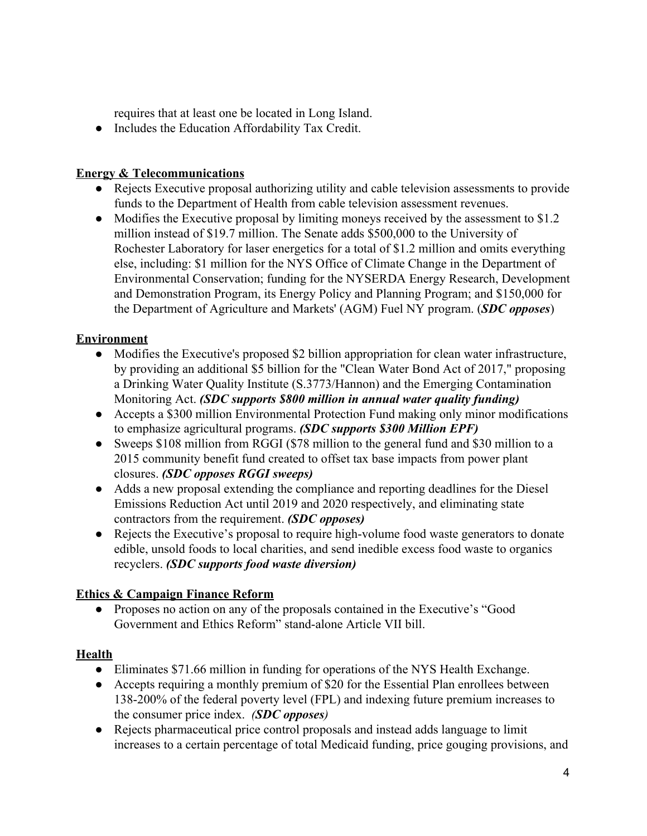requires that at least one be located in Long Island.

● Includes the Education Affordability Tax Credit.

#### **Energy & Telecommunications**

- Rejects Executive proposal authorizing utility and cable television assessments to provide funds to the Department of Health from cable television assessment revenues.
- Modifies the Executive proposal by limiting moneys received by the assessment to \$1.2 million instead of \$19.7 million. The Senate adds \$500,000 to the University of Rochester Laboratory for laser energetics for a total of \$1.2 million and omits everything else, including: \$1 million for the NYS Office of Climate Change in the Department of Environmental Conservation; funding for the NYSERDA Energy Research, Development and Demonstration Program, its Energy Policy and Planning Program; and \$150,000 for the Department of Agriculture and Markets' (AGM) Fuel NY program. (*SDC opposes*)

# **Environment**

- Modifies the Executive's proposed \$2 billion appropriation for clean water infrastructure, by providing an additional \$5 billion for the "Clean Water Bond Act of 2017," proposing a Drinking Water Quality Institute (S.3773/Hannon) and the Emerging Contamination Monitoring Act. *(SDC supports \$800 million in annual water quality funding)*
- Accepts a \$300 million Environmental Protection Fund making only minor modifications to emphasize agricultural programs. *(SDC supports \$300 Million EPF)*
- Sweeps \$108 million from RGGI (\$78 million to the general fund and \$30 million to a 2015 community benefit fund created to offset tax base impacts from power plant closures. *(SDC opposes RGGI sweeps)*
- Adds a new proposal extending the compliance and reporting deadlines for the Diesel Emissions Reduction Act until 2019 and 2020 respectively, and eliminating state contractors from the requirement. *(SDC opposes)*
- Rejects the Executive's proposal to require high-volume food waste generators to donate edible, unsold foods to local charities, and send inedible excess food waste to organics recyclers. *(SDC supports food waste diversion)*

# **Ethics & Campaign Finance Reform**

● Proposes no action on any of the proposals contained in the Executive's "Good Government and Ethics Reform" stand-alone Article VII bill.

# **Health**

- Eliminates \$71.66 million in funding for operations of the NYS Health Exchange.
- Accepts requiring a monthly premium of \$20 for the Essential Plan enrollees between 138-200% of the federal poverty level (FPL) and indexing future premium increases to the consumer price index. *(SDC opposes)*
- Rejects pharmaceutical price control proposals and instead adds language to limit increases to a certain percentage of total Medicaid funding, price gouging provisions, and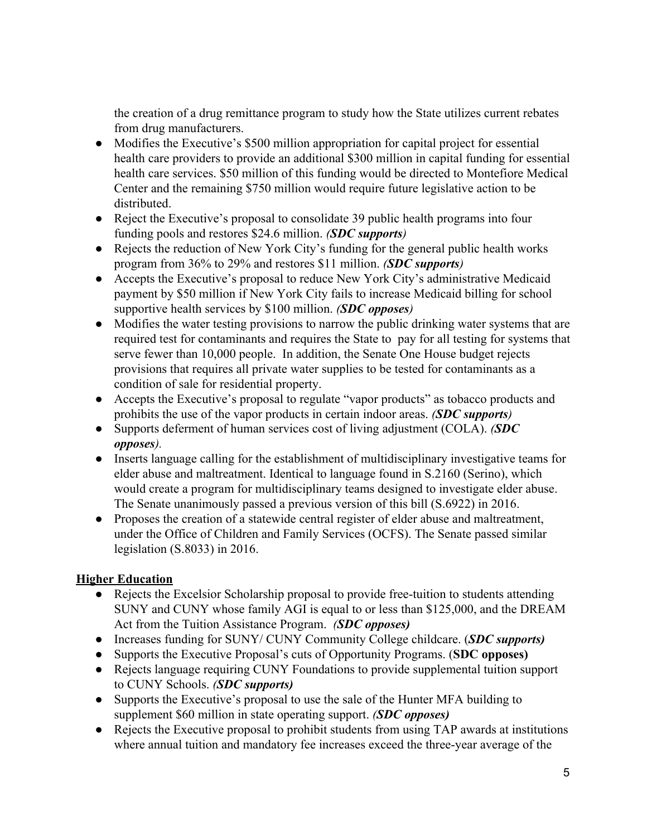the creation of a drug remittance program to study how the State utilizes current rebates from drug manufacturers.

- Modifies the Executive's \$500 million appropriation for capital project for essential health care providers to provide an additional \$300 million in capital funding for essential health care services. \$50 million of this funding would be directed to Montefiore Medical Center and the remaining \$750 million would require future legislative action to be distributed.
- Reject the Executive's proposal to consolidate 39 public health programs into four funding pools and restores \$24.6 million. *(SDC supports)*
- Rejects the reduction of New York City's funding for the general public health works program from 36% to 29% and restores \$11 million. *(SDC supports)*
- Accepts the Executive's proposal to reduce New York City's administrative Medicaid payment by \$50 million if New York City fails to increase Medicaid billing for school supportive health services by \$100 million. *(SDC opposes)*
- Modifies the water testing provisions to narrow the public drinking water systems that are required test for contaminants and requires the State to pay for all testing for systems that serve fewer than 10,000 people. In addition, the Senate One House budget rejects provisions that requires all private water supplies to be tested for contaminants as a condition of sale for residential property.
- Accepts the Executive's proposal to regulate "vapor products" as tobacco products and prohibits the use of the vapor products in certain indoor areas. *(SDC supports)*
- Supports deferment of human services cost of living adjustment (COLA). *(SDC opposes).*
- Inserts language calling for the establishment of multidisciplinary investigative teams for elder abuse and maltreatment. Identical to language found in S.2160 (Serino), which would create a program for multidisciplinary teams designed to investigate elder abuse. The Senate unanimously passed a previous version of this bill (S.6922) in 2016.
- Proposes the creation of a statewide central register of elder abuse and maltreatment, under the Office of Children and Family Services (OCFS). The Senate passed similar legislation (S.8033) in 2016.

# **Higher Education**

- Rejects the Excelsior Scholarship proposal to provide free-tuition to students attending SUNY and CUNY whose family AGI is equal to or less than \$125,000, and the DREAM Act from the Tuition Assistance Program. *(SDC opposes)*
- Increases funding for SUNY/ CUNY Community College childcare. (*SDC supports)*
- Supports the Executive Proposal's cuts of Opportunity Programs. (**SDC opposes)**
- Rejects language requiring CUNY Foundations to provide supplemental tuition support to CUNY Schools. *(SDC supports)*
- Supports the Executive's proposal to use the sale of the Hunter MFA building to supplement \$60 million in state operating support. *(SDC opposes)*
- Rejects the Executive proposal to prohibit students from using TAP awards at institutions where annual tuition and mandatory fee increases exceed the three-year average of the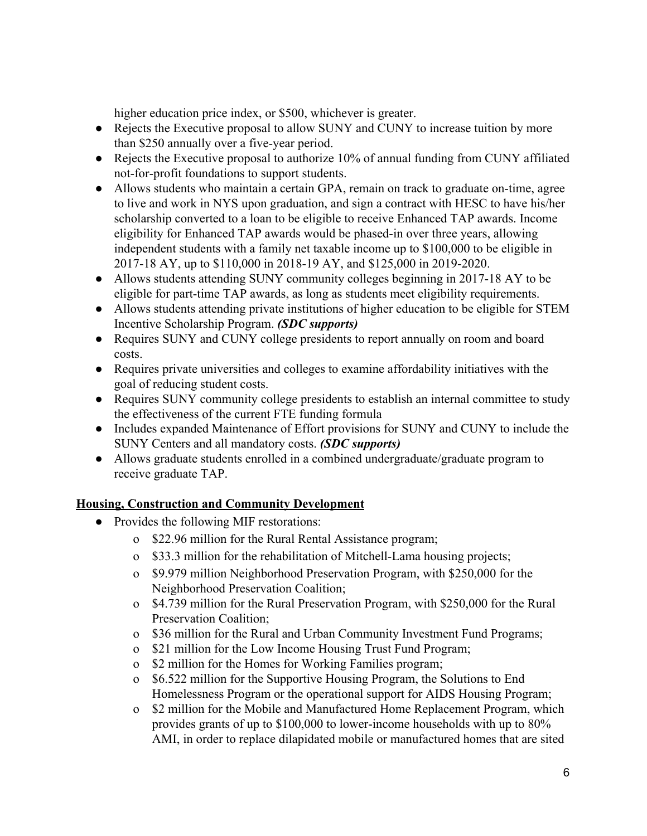higher education price index, or \$500, whichever is greater.

- Rejects the Executive proposal to allow SUNY and CUNY to increase tuition by more than \$250 annually over a five-year period.
- Rejects the Executive proposal to authorize 10% of annual funding from CUNY affiliated not-for-profit foundations to support students.
- Allows students who maintain a certain GPA, remain on track to graduate on-time, agree to live and work in NYS upon graduation, and sign a contract with HESC to have his/her scholarship converted to a loan to be eligible to receive Enhanced TAP awards. Income eligibility for Enhanced TAP awards would be phased-in over three years, allowing independent students with a family net taxable income up to \$100,000 to be eligible in 2017-18 AY, up to \$110,000 in 2018-19 AY, and \$125,000 in 2019-2020.
- Allows students attending SUNY community colleges beginning in 2017-18 AY to be eligible for part-time TAP awards, as long as students meet eligibility requirements.
- Allows students attending private institutions of higher education to be eligible for STEM Incentive Scholarship Program. *(SDC supports)*
- Requires SUNY and CUNY college presidents to report annually on room and board costs.
- Requires private universities and colleges to examine affordability initiatives with the goal of reducing student costs.
- Requires SUNY community college presidents to establish an internal committee to study the effectiveness of the current FTE funding formula
- Includes expanded Maintenance of Effort provisions for SUNY and CUNY to include the SUNY Centers and all mandatory costs. *(SDC supports)*
- Allows graduate students enrolled in a combined undergraduate/graduate program to receive graduate TAP.

# **Housing, Construction and Community Development**

- Provides the following MIF restorations:
	- o \$22.96 million for the Rural Rental Assistance program;
	- o \$33.3 million for the rehabilitation of Mitchell-Lama housing projects;
	- o \$9.979 million Neighborhood Preservation Program, with \$250,000 for the Neighborhood Preservation Coalition;
	- o \$4.739 million for the Rural Preservation Program, with \$250,000 for the Rural Preservation Coalition;
	- o \$36 million for the Rural and Urban Community Investment Fund Programs;
	- o \$21 million for the Low Income Housing Trust Fund Program;
	- o \$2 million for the Homes for Working Families program;
	- o \$6.522 million for the Supportive Housing Program, the Solutions to End Homelessness Program or the operational support for AIDS Housing Program;
	- o \$2 million for the Mobile and Manufactured Home Replacement Program, which provides grants of up to \$100,000 to lower-income households with up to 80% AMI, in order to replace dilapidated mobile or manufactured homes that are sited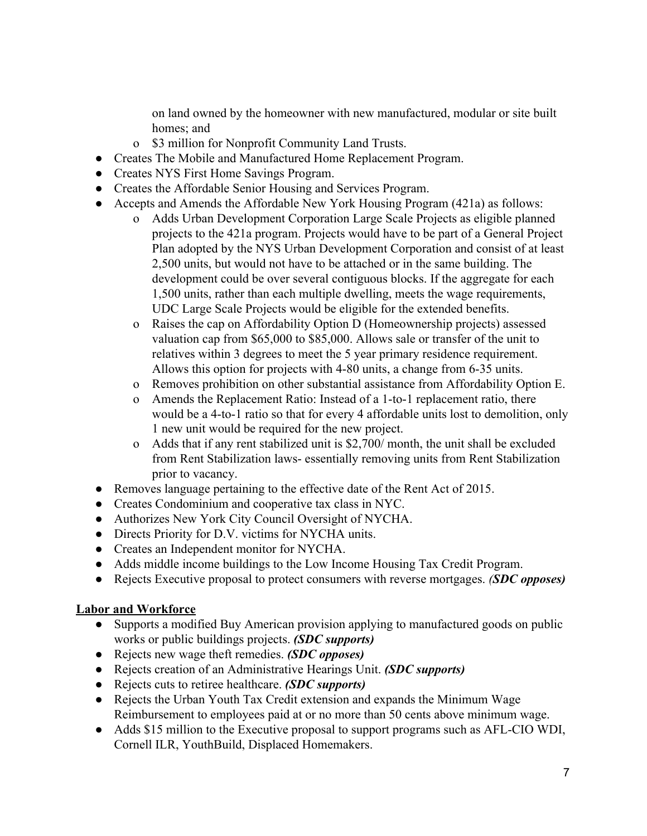on land owned by the homeowner with new manufactured, modular or site built homes; and

- o \$3 million for Nonprofit Community Land Trusts.
- Creates The Mobile and Manufactured Home Replacement Program.
- Creates NYS First Home Savings Program.
- Creates the Affordable Senior Housing and Services Program.
- Accepts and Amends the Affordable New York Housing Program (421a) as follows:
	- o Adds Urban Development Corporation Large Scale Projects as eligible planned projects to the 421a program. Projects would have to be part of a General Project Plan adopted by the NYS Urban Development Corporation and consist of at least 2,500 units, but would not have to be attached or in the same building. The development could be over several contiguous blocks. If the aggregate for each 1,500 units, rather than each multiple dwelling, meets the wage requirements, UDC Large Scale Projects would be eligible for the extended benefits.
	- o Raises the cap on Affordability Option D (Homeownership projects) assessed valuation cap from \$65,000 to \$85,000. Allows sale or transfer of the unit to relatives within 3 degrees to meet the 5 year primary residence requirement. Allows this option for projects with 4-80 units, a change from 6-35 units.
	- o Removes prohibition on other substantial assistance from Affordability Option E.
	- o Amends the Replacement Ratio: Instead of a 1-to-1 replacement ratio, there would be a 4-to-1 ratio so that for every 4 affordable units lost to demolition, only 1 new unit would be required for the new project.
	- o Adds that if any rent stabilized unit is \$2,700/ month, the unit shall be excluded from Rent Stabilization laws- essentially removing units from Rent Stabilization prior to vacancy.
- Removes language pertaining to the effective date of the Rent Act of 2015.
- Creates Condominium and cooperative tax class in NYC.
- Authorizes New York City Council Oversight of NYCHA.
- Directs Priority for D.V. victims for NYCHA units.
- Creates an Independent monitor for NYCHA.
- Adds middle income buildings to the Low Income Housing Tax Credit Program.
- Rejects Executive proposal to protect consumers with reverse mortgages. *(SDC opposes)*

#### **Labor and Workforce**

- Supports a modified Buy American provision applying to manufactured goods on public works or public buildings projects. *(SDC supports)*
- Rejects new wage theft remedies. *(SDC opposes)*
- Rejects creation of an Administrative Hearings Unit. *(SDC supports)*
- Rejects cuts to retiree healthcare. *(SDC supports)*
- Rejects the Urban Youth Tax Credit extension and expands the Minimum Wage Reimbursement to employees paid at or no more than 50 cents above minimum wage.
- Adds \$15 million to the Executive proposal to support programs such as AFL-CIO WDI, Cornell ILR, YouthBuild, Displaced Homemakers.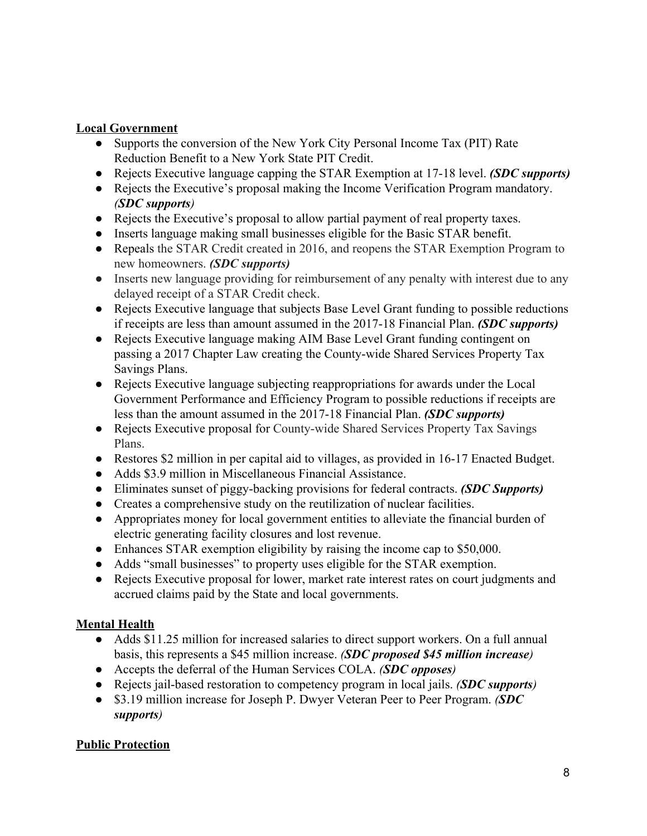#### **Local Government**

- Supports the conversion of the New York City Personal Income Tax (PIT) Rate Reduction Benefit to a New York State PIT Credit.
- Rejects Executive language capping the STAR Exemption at 17-18 level. *(SDC supports)*
- Rejects the Executive's proposal making the Income Verification Program mandatory. *(SDC supports)*
- Rejects the Executive's proposal to allow partial payment of real property taxes.
- Inserts language making small businesses eligible for the Basic STAR benefit.
- Repeals the STAR Credit created in 2016, and reopens the STAR Exemption Program to new homeowners. *(SDC supports)*
- Inserts new language providing for reimbursement of any penalty with interest due to any delayed receipt of a STAR Credit check.
- Rejects Executive language that subjects Base Level Grant funding to possible reductions if receipts are less than amount assumed in the 2017-18 Financial Plan. *(SDC supports)*
- Rejects Executive language making AIM Base Level Grant funding contingent on passing a 2017 Chapter Law creating the County-wide Shared Services Property Tax Savings Plans.
- Rejects Executive language subjecting reappropriations for awards under the Local Government Performance and Efficiency Program to possible reductions if receipts are less than the amount assumed in the 2017-18 Financial Plan. *(SDC supports)*
- Rejects Executive proposal for County-wide Shared Services Property Tax Savings Plans.
- Restores \$2 million in per capital aid to villages, as provided in 16-17 Enacted Budget.
- Adds \$3.9 million in Miscellaneous Financial Assistance.
- Eliminates sunset of piggy-backing provisions for federal contracts. *(SDC Supports)*
- Creates a comprehensive study on the reutilization of nuclear facilities.
- Appropriates money for local government entities to alleviate the financial burden of electric generating facility closures and lost revenue.
- Enhances STAR exemption eligibility by raising the income cap to \$50,000.
- Adds "small businesses" to property uses eligible for the STAR exemption.
- Rejects Executive proposal for lower, market rate interest rates on court judgments and accrued claims paid by the State and local governments.

# **Mental Health**

- Adds \$11.25 million for increased salaries to direct support workers. On a full annual basis, this represents a \$45 million increase. *(SDC proposed \$45 million increase)*
- Accepts the deferral of the Human Services COLA. *(SDC opposes)*
- Rejects jail-based restoration to competency program in local jails. *(SDC supports)*
- \$3.19 million increase for Joseph P. Dwyer Veteran Peer to Peer Program. *(SDC supports)*

#### **Public Protection**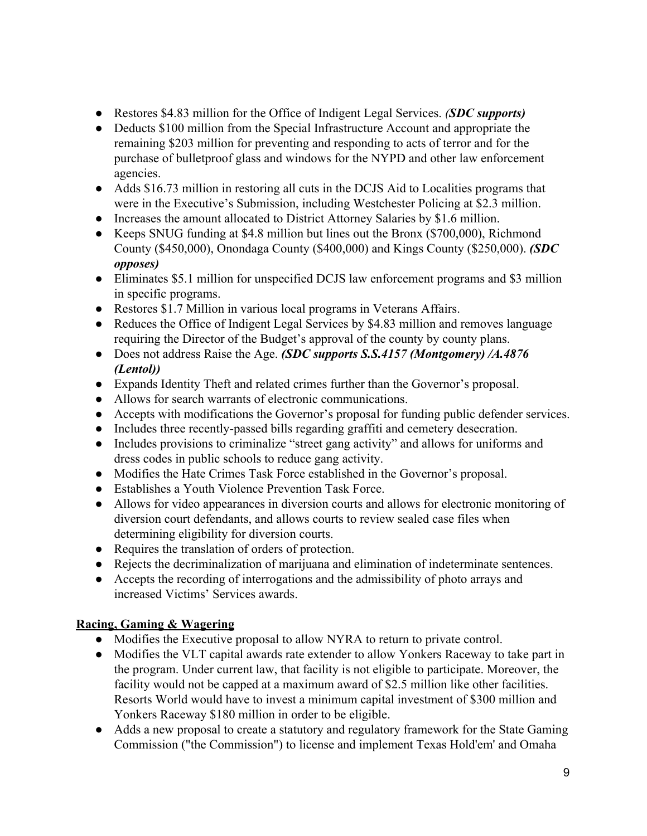- Restores \$4.83 million for the Office of Indigent Legal Services. *(SDC supports)*
- Deducts \$100 million from the Special Infrastructure Account and appropriate the remaining \$203 million for preventing and responding to acts of terror and for the purchase of bulletproof glass and windows for the NYPD and other law enforcement agencies.
- Adds \$16.73 million in restoring all cuts in the DCJS Aid to Localities programs that were in the Executive's Submission, including Westchester Policing at \$2.3 million.
- Increases the amount allocated to District Attorney Salaries by \$1.6 million.
- Keeps SNUG funding at \$4.8 million but lines out the Bronx (\$700,000), Richmond County (\$450,000), Onondaga County (\$400,000) and Kings County (\$250,000). *(SDC opposes)*
- Eliminates \$5.1 million for unspecified DCJS law enforcement programs and \$3 million in specific programs.
- Restores \$1.7 Million in various local programs in Veterans Affairs.
- Reduces the Office of Indigent Legal Services by \$4.83 million and removes language requiring the Director of the Budget's approval of the county by county plans.
- Does not address Raise the Age. *(SDC supports S.S.4157 (Montgomery) /A.4876 (Lentol))*
- Expands Identity Theft and related crimes further than the Governor's proposal.
- Allows for search warrants of electronic communications.
- Accepts with modifications the Governor's proposal for funding public defender services.
- Includes three recently-passed bills regarding graffiti and cemetery desecration.
- Includes provisions to criminalize "street gang activity" and allows for uniforms and dress codes in public schools to reduce gang activity.
- Modifies the Hate Crimes Task Force established in the Governor's proposal.
- Establishes a Youth Violence Prevention Task Force.
- Allows for video appearances in diversion courts and allows for electronic monitoring of diversion court defendants, and allows courts to review sealed case files when determining eligibility for diversion courts.
- Requires the translation of orders of protection.
- Rejects the decriminalization of marijuana and elimination of indeterminate sentences.
- Accepts the recording of interrogations and the admissibility of photo arrays and increased Victims' Services awards.

# **Racing, Gaming & Wagering**

- Modifies the Executive proposal to allow NYRA to return to private control.
- Modifies the VLT capital awards rate extender to allow Yonkers Raceway to take part in the program. Under current law, that facility is not eligible to participate. Moreover, the facility would not be capped at a maximum award of \$2.5 million like other facilities. Resorts World would have to invest a minimum capital investment of \$300 million and Yonkers Raceway \$180 million in order to be eligible.
- Adds a new proposal to create a statutory and regulatory framework for the State Gaming Commission ("the Commission") to license and implement Texas Hold'em' and Omaha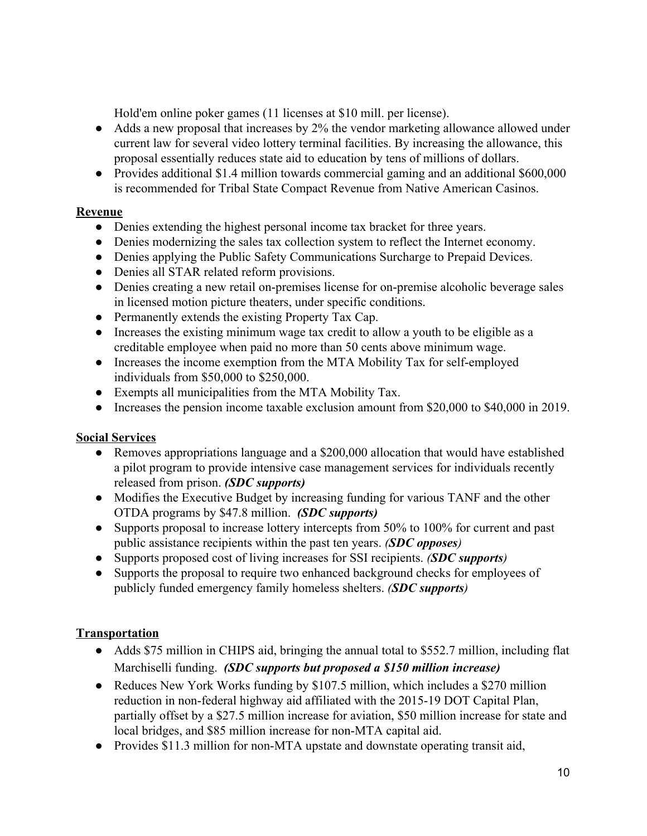Hold'em online poker games (11 licenses at \$10 mill. per license).

- Adds a new proposal that increases by 2% the vendor marketing allowance allowed under current law for several video lottery terminal facilities. By increasing the allowance, this proposal essentially reduces state aid to education by tens of millions of dollars.
- Provides additional \$1.4 million towards commercial gaming and an additional \$600,000 is recommended for Tribal State Compact Revenue from Native American Casinos.

# **Revenue**

- Denies extending the highest personal income tax bracket for three years.
- Denies modernizing the sales tax collection system to reflect the Internet economy.
- Denies applying the Public Safety Communications Surcharge to Prepaid Devices.
- Denies all STAR related reform provisions.
- Denies creating a new retail on-premises license for on-premise alcoholic beverage sales in licensed motion picture theaters, under specific conditions.
- Permanently extends the existing Property Tax Cap.
- Increases the existing minimum wage tax credit to allow a youth to be eligible as a creditable employee when paid no more than 50 cents above minimum wage.
- Increases the income exemption from the MTA Mobility Tax for self-employed individuals from \$50,000 to \$250,000.
- Exempts all municipalities from the MTA Mobility Tax.
- Increases the pension income taxable exclusion amount from \$20,000 to \$40,000 in 2019.

# **Social Services**

- Removes appropriations language and a \$200,000 allocation that would have established a pilot program to provide intensive case management services for individuals recently released from prison. *(SDC supports)*
- *●* Modifies the Executive Budget by increasing funding for various TANF and the other OTDA programs by \$47.8 million. *(SDC supports)*
- Supports proposal to increase lottery intercepts from 50% to 100% for current and past public assistance recipients within the past ten years. *(SDC opposes)*
- Supports proposed cost of living increases for SSI recipients. *(SDC supports)*
- Supports the proposal to require two enhanced background checks for employees of publicly funded emergency family homeless shelters. *(SDC supports)*

# **Transportation**

- Adds \$75 million in CHIPS aid, bringing the annual total to \$552.7 million, including flat Marchiselli funding. *(SDC supports but proposed a \$150 million increase)*
- **●** Reduces New York Works funding by \$107.5 million, which includes a \$270 million reduction in non-federal highway aid affiliated with the 2015-19 DOT Capital Plan, partially offset by a \$27.5 million increase for aviation, \$50 million increase for state and local bridges, and \$85 million increase for non-MTA capital aid.
- **●** Provides \$11.3 million for non-MTA upstate and downstate operating transit aid,